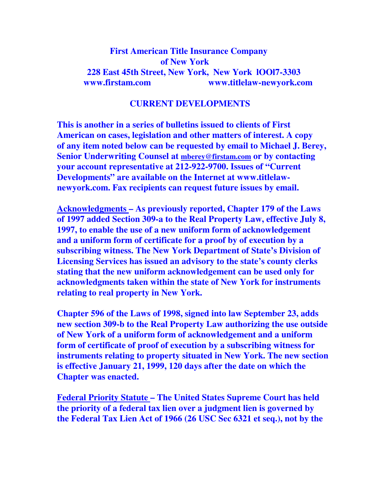## **First American Title Insurance Company of New York 228 East 45th Street, New York, New York lOOl7-3303 www.firstam.com www.titlelaw-newyork.com**

## **CURRENT DEVELOPMENTS**

**This is another in a series of bulletins issued to clients of First American on cases, legislation and other matters of interest. A copy of any item noted below can be requested by email to Michael J. Berey, Senior Underwriting Counsel at mberey@firstam.com or by contacting your account representative at 212-922-9700. Issues of "Current Developments" are available on the Internet at www.titlelawnewyork.com. Fax recipients can request future issues by email.** 

**Acknowledgments – As previously reported, Chapter 179 of the Laws of 1997 added Section 309-a to the Real Property Law, effective July 8, 1997, to enable the use of a new uniform form of acknowledgement and a uniform form of certificate for a proof by of execution by a subscribing witness. The New York Department of State's Division of Licensing Services has issued an advisory to the state's county clerks stating that the new uniform acknowledgement can be used only for acknowledgments taken within the state of New York for instruments relating to real property in New York.** 

**Chapter 596 of the Laws of 1998, signed into law September 23, adds new section 309-b to the Real Property Law authorizing the use outside of New York of a uniform form of acknowledgement and a uniform form of certificate of proof of execution by a subscribing witness for instruments relating to property situated in New York. The new section is effective January 21, 1999, 120 days after the date on which the Chapter was enacted.** 

**Federal Priority Statute – The United States Supreme Court has held the priority of a federal tax lien over a judgment lien is governed by the Federal Tax Lien Act of 1966 (26 USC Sec 6321 et seq.), not by the**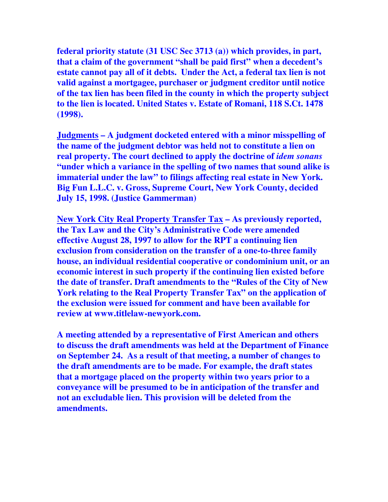**federal priority statute (31 USC Sec 3713 (a)) which provides, in part, that a claim of the government "shall be paid first" when a decedent's estate cannot pay all of it debts. Under the Act, a federal tax lien is not valid against a mortgagee, purchaser or judgment creditor until notice of the tax lien has been filed in the county in which the property subject to the lien is located. United States v. Estate of Romani, 118 S.Ct. 1478 (1998).** 

**Judgments – A judgment docketed entered with a minor misspelling of the name of the judgment debtor was held not to constitute a lien on real property. The court declined to apply the doctrine of** *idem sonans* **"under which a variance in the spelling of two names that sound alike is immaterial under the law" to filings affecting real estate in New York. Big Fun L.L.C. v. Gross, Supreme Court, New York County, decided July 15, 1998. (Justice Gammerman)** 

**New York City Real Property Transfer Tax – As previously reported, the Tax Law and the City's Administrative Code were amended effective August 28, 1997 to allow for the RPT a continuing lien exclusion from consideration on the transfer of a one-to-three family house, an individual residential cooperative or condominium unit, or an economic interest in such property if the continuing lien existed before the date of transfer. Draft amendments to the "Rules of the City of New York relating to the Real Property Transfer Tax" on the application of the exclusion were issued for comment and have been available for review at www.titlelaw-newyork.com.** 

**A meeting attended by a representative of First American and others to discuss the draft amendments was held at the Department of Finance on September 24. As a result of that meeting, a number of changes to the draft amendments are to be made. For example, the draft states that a mortgage placed on the property within two years prior to a conveyance will be presumed to be in anticipation of the transfer and not an excludable lien. This provision will be deleted from the amendments.**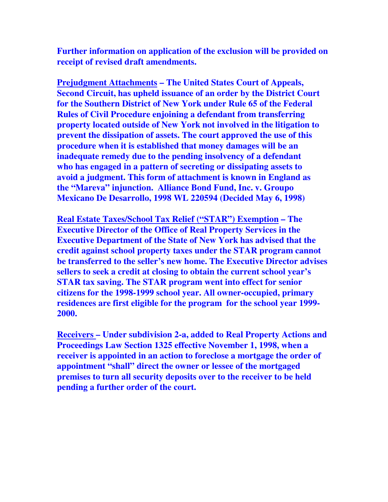**Further information on application of the exclusion will be provided on receipt of revised draft amendments.** 

**Prejudgment Attachments – The United States Court of Appeals, Second Circuit, has upheld issuance of an order by the District Court for the Southern District of New York under Rule 65 of the Federal Rules of Civil Procedure enjoining a defendant from transferring property located outside of New York not involved in the litigation to prevent the dissipation of assets. The court approved the use of this procedure when it is established that money damages will be an inadequate remedy due to the pending insolvency of a defendant who has engaged in a pattern of secreting or dissipating assets to avoid a judgment. This form of attachment is known in England as the "Mareva" injunction. Alliance Bond Fund, Inc. v. Groupo Mexicano De Desarrollo, 1998 WL 220594 (Decided May 6, 1998)** 

**Real Estate Taxes/School Tax Relief ("STAR") Exemption – The Executive Director of the Office of Real Property Services in the Executive Department of the State of New York has advised that the credit against school property taxes under the STAR program cannot be transferred to the seller's new home. The Executive Director advises sellers to seek a credit at closing to obtain the current school year's STAR tax saving. The STAR program went into effect for senior citizens for the 1998-1999 school year. All owner-occupied, primary residences are first eligible for the program for the school year 1999- 2000.** 

**Receivers – Under subdivision 2-a, added to Real Property Actions and Proceedings Law Section 1325 effective November 1, 1998, when a receiver is appointed in an action to foreclose a mortgage the order of appointment "shall" direct the owner or lessee of the mortgaged premises to turn all security deposits over to the receiver to be held pending a further order of the court.**